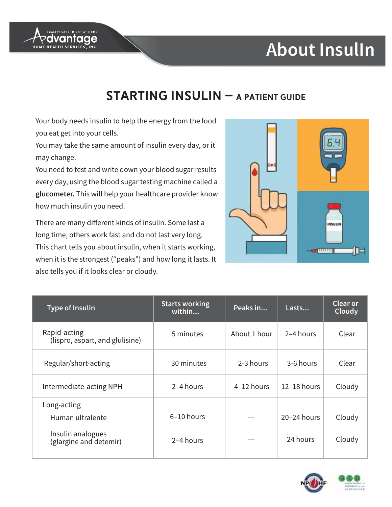

# **About InsulIn**

#### **STARTING INSULIN - A PATIENT GUIDE**

Your body needs insulin to help the energy from the food you eat get into your cells.

You may take the same amount of insulin every day, or it may change.

You need to test and write down your blood sugar results every day, using the blood sugar testing machine called a glucometer. This will help your healthcare provider know how much insulin you need.

There are many different kinds of insulin. Some last a long time, others work fast and do not last very long. This chart tells you about insulin, when it starts working, when it is the strongest ("peaks") and how long it lasts. It also tells you if it looks clear or cloudy.



| <b>Type of Insulin</b>                                                         | <b>Starts working</b><br>within | Peaks in     | Lasts                       | <b>Clear or</b><br>Cloudy |
|--------------------------------------------------------------------------------|---------------------------------|--------------|-----------------------------|---------------------------|
| Rapid-acting<br>(lispro, aspart, and glulisine)                                | 5 minutes                       | About 1 hour | 2-4 hours                   | Clear                     |
| Regular/short-acting                                                           | 30 minutes                      | 2-3 hours    | 3-6 hours                   | Clear                     |
| Intermediate-acting NPH                                                        | 2–4 hours                       | 4-12 hours   | $12-18$ hours               | Cloudy                    |
| Long-acting<br>Human ultralente<br>Insulin analogues<br>(glargine and detemir) | 6-10 hours<br>2-4 hours         |              | $20 - 24$ hours<br>24 hours | Cloudy<br>Cloudy          |